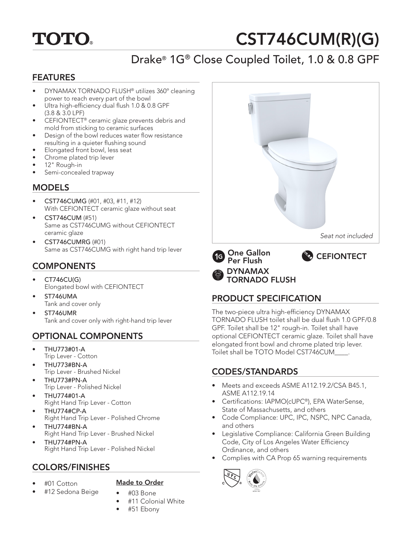# **TOTO.**

# CST746CUM(R)(G)

# Drake® 1G® Close Coupled Toilet, 1.0 & 0.8 GPF

#### FEATURES

- DYNAMAX TORNADO FLUSH® utilizes 360º cleaning power to reach every part of the bowl
- Ultra high-efficiency dual flush 1.0 & 0.8 GPF (3.8 & 3.0 LPF)
- CEFIONTECT® ceramic glaze prevents debris and mold from sticking to ceramic surfaces
- Design of the bowl reduces water flow resistance resulting in a quieter flushing sound
- Elongated front bowl, less seat
- Chrome plated trip lever
- 12" Rough-in
- Semi-concealed trapway

### **MODELS**

- CST746CUMG (#01, #03, #11, #12) With CEFIONTECT ceramic glaze without seat
- CST746CUM (#51) Same as CST746CUMG without CEFIONTECT ceramic glaze
- CST746CUMRG (#01) Same as CST746CUMG with right hand trip lever

## **COMPONENTS**

- CT746CU(G) Elongated bowl with CEFIONTECT
- ST746UMA Tank and cover only
- ST746UMR Tank and cover only with right-hand trip lever

## OPTIONAL COMPONENTS

- THU773#01-A Trip Lever - Cotton
- THU773#BN-A Trip Lever - Brushed Nickel
- THU773#PN-A Trip Lever - Polished Nickel
- THU774#01-A Right Hand Trip Lever - Cotton
- THU774#CP-A Right Hand Trip Lever - Polished Chrome
- THU774#BN-A Right Hand Trip Lever - Brushed Nickel
- THU774#PN-A Right Hand Trip Lever - Polished Nickel

## COLORS/FINISHES

• #01 Cotton

#### Made to Order

- #12 Sedona Beige
- #03 Bone • #11 Colonial White
- 
- #51 Ebony



One Gallon **1G** Per Flush DYNAMAX TORNADO FLUSH



### PRODUCT SPECIFICATION

The two-piece ultra high-efficiency DYNAMAX TORNADO FLUSH toilet shall be dual flush 1.0 GPF/0.8 GPF. Toilet shall be 12" rough-in. Toilet shall have optional CEFIONTECT ceramic glaze. Toilet shall have elongated front bowl and chrome plated trip lever. Toilet shall be TOTO Model CST746CUM\_\_\_\_.

#### CODES/STANDARDS

- Meets and exceeds ASME A112.19.2/CSA B45.1, ASME A112.19.14
- Certifications: IAPMO(cUPC®), EPA WaterSense, State of Massachusetts, and others
- Code Compliance: UPC, IPC, NSPC, NPC Canada, and others
- Legislative Compliance: California Green Building Code, City of Los Angeles Water Efficiency Ordinance, and others
- Complies with CA Prop 65 warning requirements